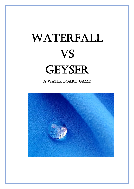## WATERFALL vs GEYSER

A Water board game

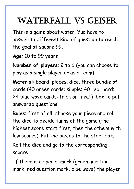## WATERFALL VS GEISER

This is a game about water. Yuo have to answer to different kind of question to reach the goal at square 99.

**Age**: 10 to 99 years

**Number of players**: 2 to 6 (you can choose to play as a single player or as a team)

**Material**: board, pieces, dice, three bundle of cards (40 green cards: simple; 40 red: hard; 24 blue wave cards: trick or treat), box to put answered questions

**Rules**: first of all, choose your piece and roll the dice to decide turns of the game (the highest score start first, then the others with low scores). Put the pieces to the start box.

Roll the dice and go to the corresponding square.

If there is a special mark (green question mark, red question mark, blue wave) the player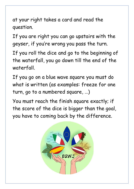at your right takes a card and read the question.

If you are right you can go upstairs with the geyser, if you're wrong you pass the turn.

If you roll the dice and go to the beginning of the waterfall, you go down till the end of the waterfall.

If you go on a blue wave square you must do what is written (as examples: freeze for one turn, go to a numbered square, …)

You must reach the finish square exactly; if the score of the dice is bigger than the goal, you have to coming back by the difference.